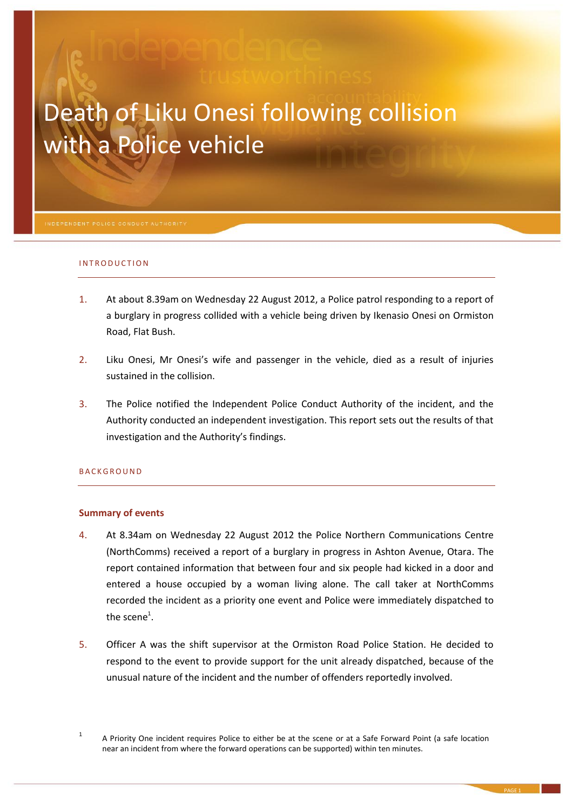# Death of Liku Onesi following collision with a Police vehicle

#### INTRODUCTION

- 1. At about 8.39am on Wednesday 22 August 2012, a Police patrol responding to a report of a burglary in progress collided with a vehicle being driven by Ikenasio Onesi on Ormiston Road, Flat Bush.
- 2. Liku Onesi, Mr Onesi's wife and passenger in the vehicle, died as a result of injuries sustained in the collision.
- 3. The Police notified the Independent Police Conduct Authority of the incident, and the Authority conducted an independent investigation. This report sets out the results of that investigation and the Authority's findings.

#### **BACKGROUND**

#### **Summary of events**

- 4. At 8.34am on Wednesday 22 August 2012 the Police Northern Communications Centre (NorthComms) received a report of a burglary in progress in Ashton Avenue, Otara. The report contained information that between four and six people had kicked in a door and entered a house occupied by a woman living alone. The call taker at NorthComms recorded the incident as a priority one event and Police were immediately dispatched to the scene $^1$ .
- 5. Officer A was the shift supervisor at the Ormiston Road Police Station. He decided to respond to the event to provide support for the unit already dispatched, because of the unusual nature of the incident and the number of offenders reportedly involved.

<sup>1</sup> A Priority One incident requires Police to either be at the scene or at a Safe Forward Point (a safe location near an incident from where the forward operations can be supported) within ten minutes.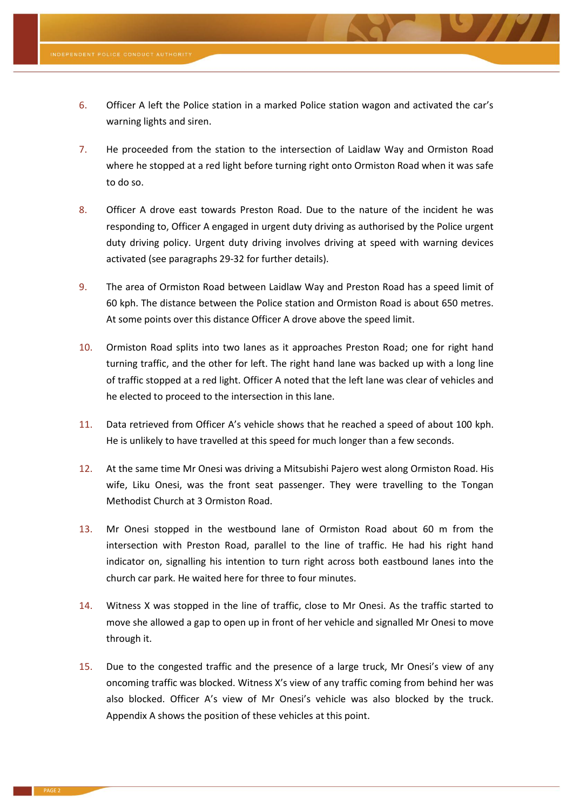- 6. Officer A left the Police station in a marked Police station wagon and activated the car's warning lights and siren.
- 7. He proceeded from the station to the intersection of Laidlaw Way and Ormiston Road where he stopped at a red light before turning right onto Ormiston Road when it was safe to do so.
- 8. Officer A drove east towards Preston Road. Due to the nature of the incident he was responding to, Officer A engaged in urgent duty driving as authorised by the Police urgent duty driving policy. Urgent duty driving involves driving at speed with warning devices activated (see paragraphs [29](#page-3-0)[-32](#page-3-1) for further details).
- 9. The area of Ormiston Road between Laidlaw Way and Preston Road has a speed limit of 60 kph. The distance between the Police station and Ormiston Road is about 650 metres. At some points over this distance Officer A drove above the speed limit.
- 10. Ormiston Road splits into two lanes as it approaches Preston Road; one for right hand turning traffic, and the other for left. The right hand lane was backed up with a long line of traffic stopped at a red light. Officer A noted that the left lane was clear of vehicles and he elected to proceed to the intersection in this lane.
- 11. Data retrieved from Officer A's vehicle shows that he reached a speed of about 100 kph. He is unlikely to have travelled at this speed for much longer than a few seconds.
- 12. At the same time Mr Onesi was driving a Mitsubishi Pajero west along Ormiston Road. His wife, Liku Onesi, was the front seat passenger. They were travelling to the Tongan Methodist Church at 3 Ormiston Road.
- 13. Mr Onesi stopped in the westbound lane of Ormiston Road about 60 m from the intersection with Preston Road, parallel to the line of traffic. He had his right hand indicator on, signalling his intention to turn right across both eastbound lanes into the church car park. He waited here for three to four minutes.
- 14. Witness X was stopped in the line of traffic, close to Mr Onesi. As the traffic started to move she allowed a gap to open up in front of her vehicle and signalled Mr Onesi to move through it.
- 15. Due to the congested traffic and the presence of a large truck, Mr Onesi's view of any oncoming traffic was blocked. Witness X's view of any traffic coming from behind her was also blocked. Officer A's view of Mr Onesi's vehicle was also blocked by the truck. Appendix A shows the position of these vehicles at this point.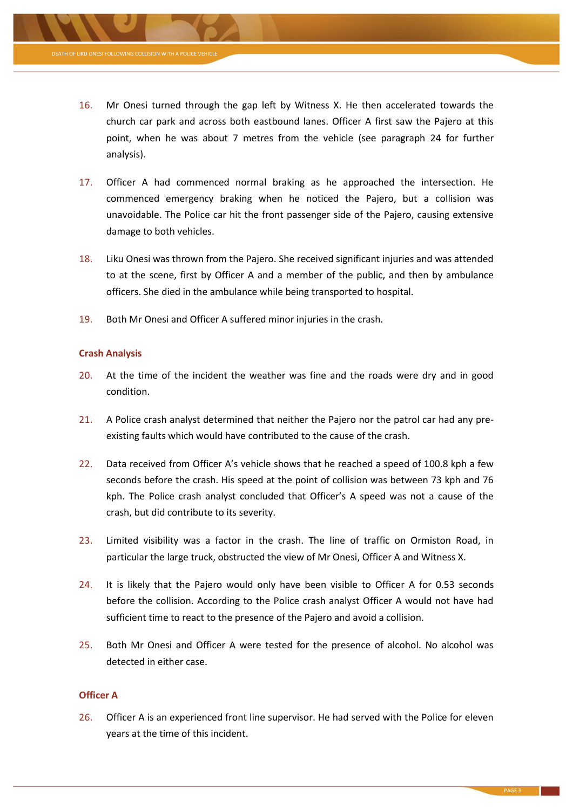

- 17. Officer A had commenced normal braking as he approached the intersection. He commenced emergency braking when he noticed the Pajero, but a collision was unavoidable. The Police car hit the front passenger side of the Pajero, causing extensive damage to both vehicles.
- 18. Liku Onesi was thrown from the Pajero. She received significant injuries and was attended to at the scene, first by Officer A and a member of the public, and then by ambulance officers. She died in the ambulance while being transported to hospital.
- 19. Both Mr Onesi and Officer A suffered minor injuries in the crash.

#### **Crash Analysis**

- 20. At the time of the incident the weather was fine and the roads were dry and in good condition.
- 21. A Police crash analyst determined that neither the Pajero nor the patrol car had any preexisting faults which would have contributed to the cause of the crash.
- 22. Data received from Officer A's vehicle shows that he reached a speed of 100.8 kph a few seconds before the crash. His speed at the point of collision was between 73 kph and 76 kph. The Police crash analyst concluded that Officer's A speed was not a cause of the crash, but did contribute to its severity.
- 23. Limited visibility was a factor in the crash. The line of traffic on Ormiston Road, in particular the large truck, obstructed the view of Mr Onesi, Officer A and Witness X.
- <span id="page-2-0"></span>24. It is likely that the Pajero would only have been visible to Officer A for 0.53 seconds before the collision. According to the Police crash analyst Officer A would not have had sufficient time to react to the presence of the Pajero and avoid a collision.
- 25. Both Mr Onesi and Officer A were tested for the presence of alcohol. No alcohol was detected in either case.

#### **Officer A**

26. Officer A is an experienced front line supervisor. He had served with the Police for eleven years at the time of this incident.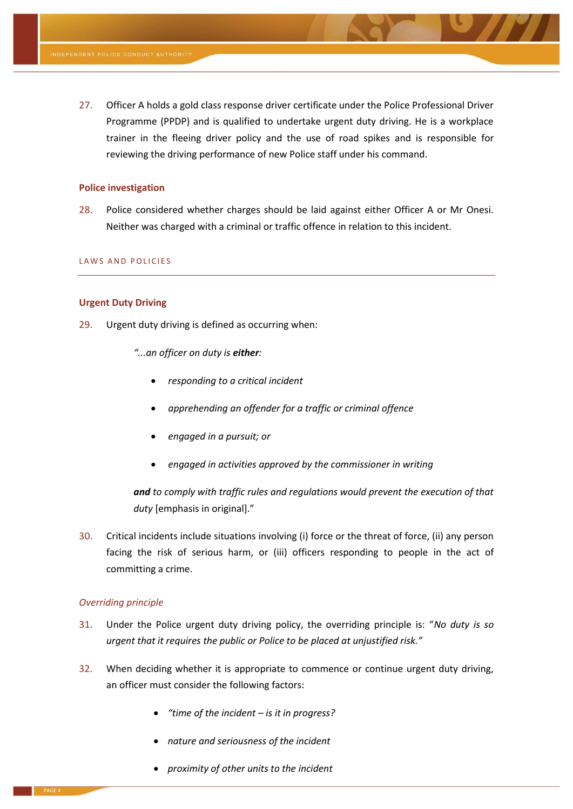27. Officer A holds a gold class response driver certificate under the Police Professional Driver Programme (PPDP) and is qualified to undertake urgent duty driving. He is a workplace trainer in the fleeing driver policy and the use of road spikes and is responsible for reviewing the driving performance of new Police staff under his command.

#### **Police investigation**

28. Police considered whether charges should be laid against either Officer A or Mr Onesi. Neither was charged with a criminal or traffic offence in relation to this incident.

#### LAWS AND POLICIES

#### **Urgent Duty Driving**

- <span id="page-3-0"></span>29. Urgent duty driving is defined as occurring when:
	- *"...an officer on duty is either:*
		- *responding to a critical incident*
		- *apprehending an offender for a traffic or criminal offence*
		- *engaged in a pursuit; or*
		- *engaged in activities approved by the commissioner in writing*

*and to comply with traffic rules and regulations would prevent the execution of that duty* [emphasis in original]."

30. Critical incidents include situations involving (i) force or the threat of force, (ii) any person facing the risk of serious harm, or (iii) officers responding to people in the act of committing a crime.

#### *Overriding principle*

- 31. Under the Police urgent duty driving policy, the overriding principle is: "*No duty is so urgent that it requires the public or Police to be placed at unjustified risk."*
- <span id="page-3-1"></span>32. When deciding whether it is appropriate to commence or continue urgent duty driving, an officer must consider the following factors:
	- *"time of the incident – is it in progress?*
	- *nature and seriousness of the incident*
	- *proximity of other units to the incident*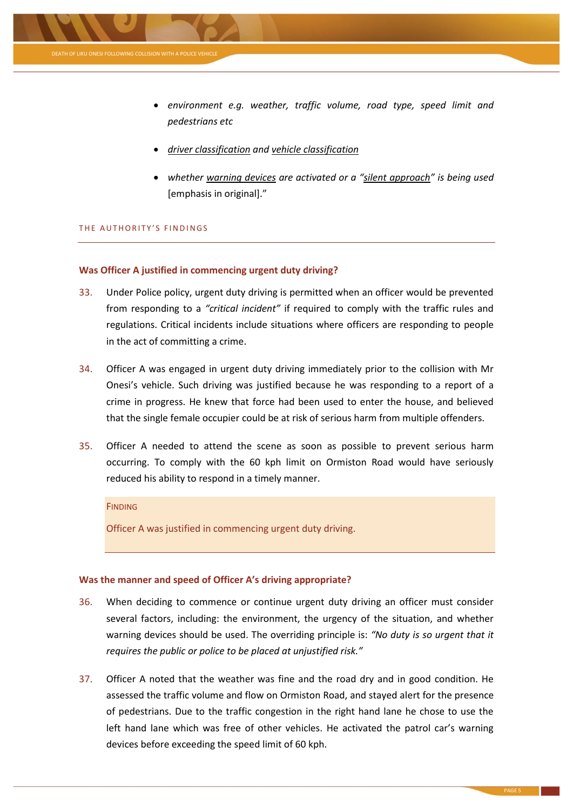

- *environment e.g. weather, traffic volume, road type, speed limit and pedestrians etc*
- *driver classification and vehicle classification*
- *whether warning devices are activated or a "silent approach" is being used*  [emphasis in original]."

#### THE AUTHORITY'S FINDINGS

#### **Was Officer A justified in commencing urgent duty driving?**

- 33. Under Police policy, urgent duty driving is permitted when an officer would be prevented from responding to a *"critical incident"* if required to comply with the traffic rules and regulations. Critical incidents include situations where officers are responding to people in the act of committing a crime.
- 34. Officer A was engaged in urgent duty driving immediately prior to the collision with Mr Onesi's vehicle. Such driving was justified because he was responding to a report of a crime in progress. He knew that force had been used to enter the house, and believed that the single female occupier could be at risk of serious harm from multiple offenders.
- 35. Officer A needed to attend the scene as soon as possible to prevent serious harm occurring. To comply with the 60 kph limit on Ormiston Road would have seriously reduced his ability to respond in a timely manner.

#### FINDING

Officer A was justified in commencing urgent duty driving.

#### **Was the manner and speed of Officer A's driving appropriate?**

- 36. When deciding to commence or continue urgent duty driving an officer must consider several factors, including: the environment, the urgency of the situation, and whether warning devices should be used. The overriding principle is: *"No duty is so urgent that it requires the public or police to be placed at unjustified risk."*
- 37. Officer A noted that the weather was fine and the road dry and in good condition. He assessed the traffic volume and flow on Ormiston Road, and stayed alert for the presence of pedestrians. Due to the traffic congestion in the right hand lane he chose to use the left hand lane which was free of other vehicles. He activated the patrol car's warning devices before exceeding the speed limit of 60 kph.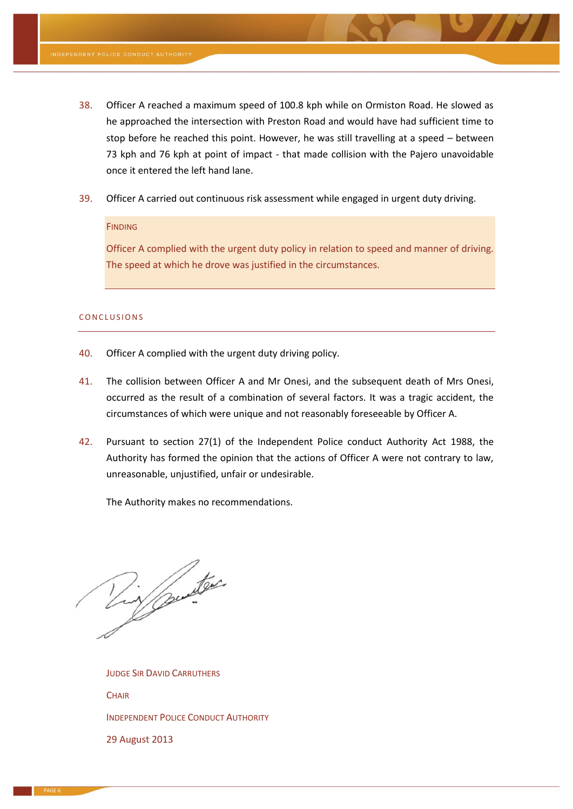- 38. Officer A reached a maximum speed of 100.8 kph while on Ormiston Road. He slowed as he approached the intersection with Preston Road and would have had sufficient time to stop before he reached this point. However, he was still travelling at a speed – between 73 kph and 76 kph at point of impact - that made collision with the Pajero unavoidable once it entered the left hand lane.
- 39. Officer A carried out continuous risk assessment while engaged in urgent duty driving.

#### FINDING

Officer A complied with the urgent duty policy in relation to speed and manner of driving. The speed at which he drove was justified in the circumstances.

#### CONCLUSIONS

- 40. Officer A complied with the urgent duty driving policy.
- 41. The collision between Officer A and Mr Onesi, and the subsequent death of Mrs Onesi, occurred as the result of a combination of several factors. It was a tragic accident, the circumstances of which were unique and not reasonably foreseeable by Officer A.
- 42. Pursuant to section 27(1) of the Independent Police conduct Authority Act 1988, the Authority has formed the opinion that the actions of Officer A were not contrary to law, unreasonable, unjustified, unfair or undesirable.

The Authority makes no recommendations.

Lin punter

JUDGE SIR DAVID CARRUTHERS **CHAIR** INDEPENDENT POLICE CONDUCT AUTHORITY 29 August 2013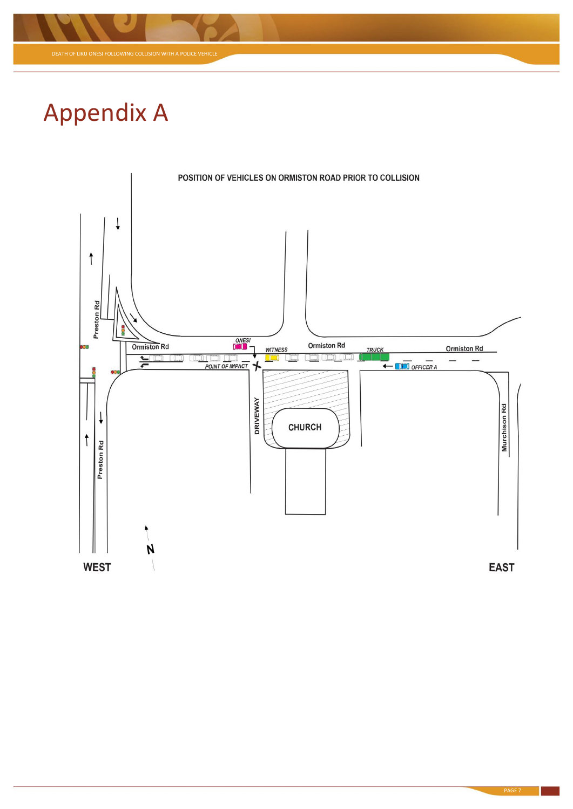

## Appendix A

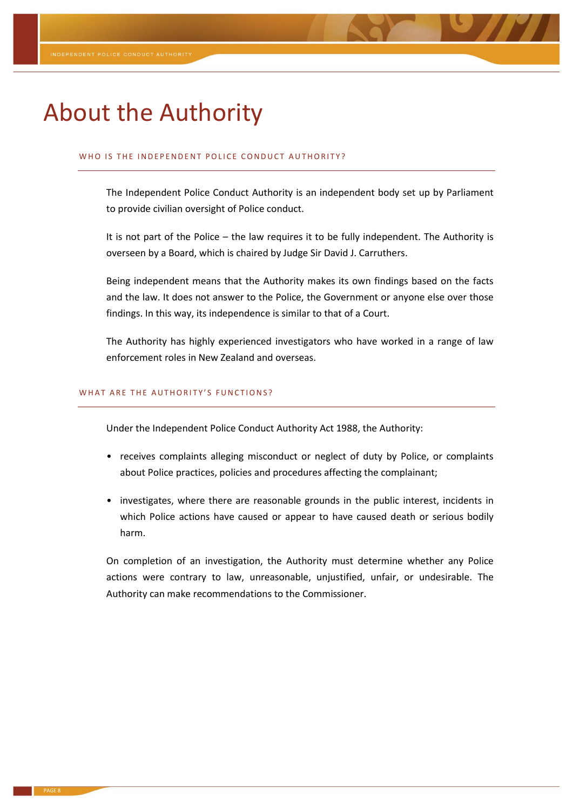### About the Authority

#### WHO IS THE INDEPENDENT POLICE CONDUCT AUTHORITY?

The Independent Police Conduct Authority is an independent body set up by Parliament to provide civilian oversight of Police conduct.

It is not part of the Police – the law requires it to be fully independent. The Authority is overseen by a Board, which is chaired by Judge Sir David J. Carruthers.

Being independent means that the Authority makes its own findings based on the facts and the law. It does not answer to the Police, the Government or anyone else over those findings. In this way, its independence is similar to that of a Court.

The Authority has highly experienced investigators who have worked in a range of law enforcement roles in New Zealand and overseas.

#### WHAT ARE THE AUTHORITY'S FUNCTIONS?

Under the Independent Police Conduct Authority Act 1988, the Authority:

- receives complaints alleging misconduct or neglect of duty by Police, or complaints about Police practices, policies and procedures affecting the complainant;
- investigates, where there are reasonable grounds in the public interest, incidents in which Police actions have caused or appear to have caused death or serious bodily harm.

On completion of an investigation, the Authority must determine whether any Police actions were contrary to law, unreasonable, unjustified, unfair, or undesirable. The Authority can make recommendations to the Commissioner.